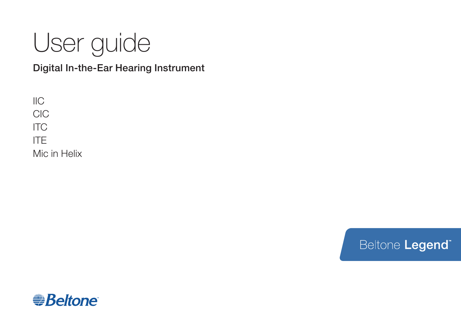# User guide

Digital In-the-Ear Hearing Instrument

IIC CIC ITC ITE

Mic in Helix

Beltone Legend®

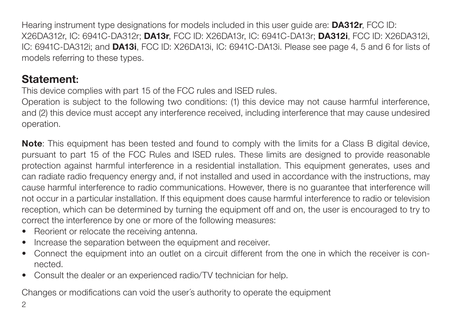Hearing instrument type designations for models included in this user guide are: **DA312r**, FCC ID: X26DA312r, IC: 6941C-DA312r; DA13r, FCC ID: X26DA13r, IC: 6941C-DA13r; DA312i, FCC ID: X26DA312i, IC: 6941C-DA312i; and DA13i, FCC ID: X26DA13i, IC: 6941C-DA13i. Please see page 4, 5 and 6 for lists of models referring to these types.

#### Statement:

This device complies with part 15 of the FCC rules and ISED rules.

Operation is subject to the following two conditions: (1) this device may not cause harmful interference, and (2) this device must accept any interference received, including interference that may cause undesired operation.

Note: This equipment has been tested and found to comply with the limits for a Class B digital device, pursuant to part 15 of the FCC Rules and ISED rules. These limits are designed to provide reasonable protection against harmful interference in a residential installation. This equipment generates, uses and can radiate radio frequency energy and, if not installed and used in accordance with the instructions, may cause harmful interference to radio communications. However, there is no guarantee that interference will not occur in a particular installation. If this equipment does cause harmful interference to radio or television reception, which can be determined by turning the equipment off and on, the user is encouraged to try to correct the interference by one or more of the following measures:

- Reorient or relocate the receiving antenna.
- Increase the separation between the equipment and receiver.
- Connect the equipment into an outlet on a circuit different from the one in which the receiver is connected.
- Consult the dealer or an experienced radio/TV technician for help.

Changes or modifications can void the user´s authority to operate the equipment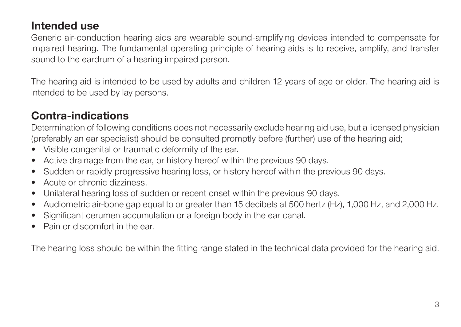### Intended use

Generic air-conduction hearing aids are wearable sound-amplifying devices intended to compensate for impaired hearing. The fundamental operating principle of hearing aids is to receive, amplify, and transfer sound to the eardrum of a hearing impaired person.

The hearing aid is intended to be used by adults and children 12 years of age or older. The hearing aid is intended to be used by lay persons.

# Contra-indications

Determination of following conditions does not necessarily exclude hearing aid use, but a licensed physician (preferably an ear specialist) should be consulted promptly before (further) use of the hearing aid;

- Visible congenital or traumatic deformity of the ear.
- Active drainage from the ear, or history hereof within the previous 90 days.
- Sudden or rapidly progressive hearing loss, or history hereof within the previous 90 days.
- Acute or chronic dizziness.
- Unilateral hearing loss of sudden or recent onset within the previous 90 days.
- Audiometric air-bone gap equal to or greater than 15 decibels at 500 hertz (Hz), 1,000 Hz, and 2,000 Hz.
- Significant cerumen accumulation or a foreign body in the ear canal.
- Pain or discomfort in the ear.

The hearing loss should be within the fitting range stated in the technical data provided for the hearing aid.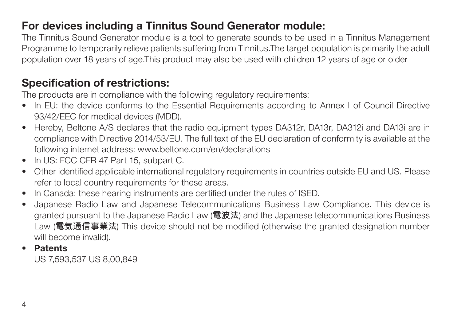# For devices including a Tinnitus Sound Generator module:

The Tinnitus Sound Generator module is a tool to generate sounds to be used in a Tinnitus Management Programme to temporarily relieve patients suffering from Tinnitus.The target population is primarily the adult population over 18 years of age.This product may also be used with children 12 years of age or older

# Specification of restrictions:

The products are in compliance with the following regulatory requirements:

- In EU: the device conforms to the Essential Requirements according to Annex I of Council Directive 93/42/EEC for medical devices (MDD).
- Hereby, Beltone A/S declares that the radio equipment types DA312r, DA13r, DA312i and DA13i are in compliance with Directive 2014/53/EU. The full text of the EU declaration of conformity is available at the following internet address: www.beltone.com/en/declarations
- In US: FCC CFR 47 Part 15, subpart C.
- Other identified applicable international regulatory requirements in countries outside EU and US. Please refer to local country requirements for these areas.
- In Canada: these hearing instruments are certified under the rules of ISED.
- Japanese Radio Law and Japanese Telecommunications Business Law Compliance. This device is granted pursuant to the Japanese Radio Law (電波法) and the Japanese telecommunications Business Law (電気通信事業法) This device should not be modified (otherwise the granted designation number will become invalid).
- Patents

US 7,593,537 US 8,00,849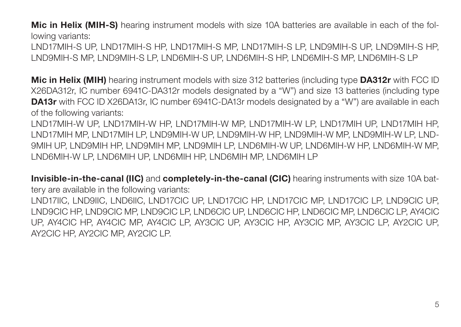Mic in Helix (MIH-S) hearing instrument models with size 10A batteries are available in each of the following variants:

LND17MIH-S UP, LND17MIH-S HP, LND17MIH-S MP, LND17MIH-S LP, LND9MIH-S UP, LND9MIH-S HP, LND9MIH-S MP, LND9MIH-S LP, LND6MIH-S UP, LND6MIH-S HP, LND6MIH-S MP, LND6MIH-S LP

Mic in Helix (MIH) hearing instrument models with size 312 batteries (including type DA312r with FCC ID X26DA312r, IC number 6941C-DA312r models designated by a "W") and size 13 batteries (including type **DA13r** with FCC ID X26DA13r, IC number 6941C-DA13r models designated by a "W") are available in each of the following variants:

LND17MIH-W UP, LND17MIH-W HP, LND17MIH-W MP, LND17MIH-W LP, LND17MIH UP, LND17MIH HP, LND17MIH MP, LND17MIH LP, LND9MIH-W UP, LND9MIH-W HP, LND9MIH-W MP, LND9MIH-W LP, LND-9MIH UP, LND9MIH HP, LND9MIH MP, LND9MIH LP, LND6MIH-W UP, LND6MIH-W HP, LND6MIH-W MP, LND6MIH-W LP, LND6MIH UP, LND6MIH HP, LND6MIH MP, LND6MIH LP

Invisible-in-the-canal (IIC) and completely-in-the-canal (CIC) hearing instruments with size 10A battery are available in the following variants:

LND17IIC, LND9IIC, LND6IIC, LND17CIC UP, LND17CIC HP, LND17CIC MP, LND17CIC LP, LND9CIC UP, LND9CIC HP, LND9CIC MP, LND9CIC LP, LND6CIC UP, LND6CIC HP, LND6CIC MP, LND6CIC LP, AY4CIC UP, AY4CIC HP, AY4CIC MP, AY4CIC LP, AY3CIC UP, AY3CIC HP, AY3CIC MP, AY3CIC LP, AY2CIC UP, AY2CIC HP, AY2CIC MP, AY2CIC LP.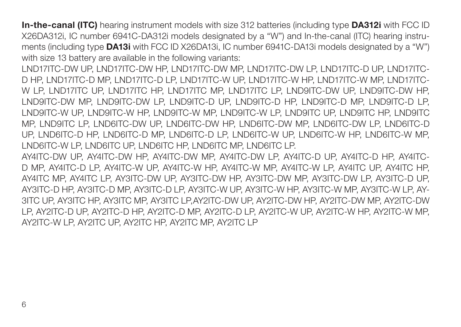**In-the-canal (ITC)** hearing instrument models with size 312 batteries (including type **DA312i** with FCC ID X26DA312i, IC number 6941C-DA312i models designated by a "W") and In-the-canal (ITC) hearing instruments (including type **DA13i** with FCC ID X26DA13i, IC number 6941C-DA13i models designated by a "W") with size 13 battery are available in the following variants:

LND17ITC-DW UP, LND17ITC-DW HP, LND17ITC-DW MP, LND17ITC-DW LP, LND17ITC-D UP, LND17ITC-D HP, LND17ITC-D MP, LND17ITC-D LP, LND17ITC-W UP, LND17ITC-W HP, LND17ITC-W MP, LND17ITC-W LP, LND17ITC UP, LND17ITC HP, LND17ITC MP, LND17ITC LP, LND9ITC-DW UP, LND9ITC-DW HP, LND9ITC-DW MP, LND9ITC-DW LP, LND9ITC-D UP, LND9ITC-D HP, LND9ITC-D MP, LND9ITC-D LP, LND9ITC-W UP, LND9ITC-W HP, LND9ITC-W MP, LND9ITC-W LP, LND9ITC UP, LND9ITC HP, LND9ITC MP, LND9ITC LP, LND6ITC-DW UP, LND6ITC-DW HP, LND6ITC-DW MP, LND6ITC-DW LP, LND6ITC-D UP, LND6ITC-D HP, LND6ITC-D MP, LND6ITC-D LP, LND6ITC-W UP, LND6ITC-W HP, LND6ITC-W MP, LND6ITC-W LP, LND6ITC UP, LND6ITC HP, LND6ITC MP, LND6ITC LP.

AY4ITC-DW UP, AY4ITC-DW HP, AY4ITC-DW MP, AY4ITC-DW LP, AY4ITC-D UP, AY4ITC-D HP, AY4ITC-D MP, AY4ITC-D LP, AY4ITC-W UP, AY4ITC-W HP, AY4ITC-W MP, AY4ITC-W LP, AY4ITC UP, AY4ITC HP, AY4ITC MP, AY4ITC LP, AY3ITC-DW UP, AY3ITC-DW HP, AY3ITC-DW MP, AY3ITC-DW LP, AY3ITC-D UP, AY3ITC-D HP, AY3ITC-D MP, AY3ITC-D LP, AY3ITC-W UP, AY3ITC-W HP, AY3ITC-W MP, AY3ITC-W LP, AY-3ITC UP, AY3ITC HP, AY3ITC MP, AY3ITC LP,AY2ITC-DW UP, AY2ITC-DW HP, AY2ITC-DW MP, AY2ITC-DW LP, AY2ITC-D UP, AY2ITC-D HP, AY2ITC-D MP, AY2ITC-D LP, AY2ITC-W UP, AY2ITC-W HP, AY2ITC-W MP, AY2ITC-W LP, AY2ITC UP, AY2ITC HP, AY2ITC MP, AY2ITC LP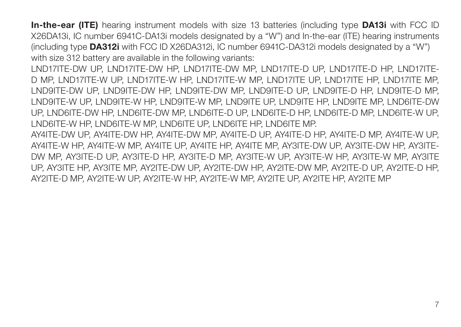In-the-ear (ITE) hearing instrument models with size 13 batteries (including type DA13i with FCC ID X26DA13i, IC number 6941C-DA13i models designated by a "W") and In-the-ear (ITE) hearing instruments (including type DA312i with FCC ID X26DA312i, IC number 6941C-DA312i models designated by a "W") with size 312 battery are available in the following variants:

LND17ITE-DW UP, LND17ITE-DW HP, LND17ITE-DW MP, LND17ITE-D UP, LND17ITE-D HP, LND17ITE-D MP, LND17ITE-W UP, LND17ITE-W HP, LND17ITE-W MP, LND17ITE UP, LND17ITE HP, LND17ITE MP, LND9ITE-DW UP, LND9ITE-DW HP, LND9ITE-DW MP, LND9ITE-D UP, LND9ITE-D HP, LND9ITE-D MP, LND9ITE-W UP, LND9ITE-W HP, LND9ITE-W MP, LND9ITE UP, LND9ITE HP, LND9ITE MP, LND6ITE-DW UP, LND6ITE-DW HP, LND6ITE-DW MP, LND6ITE-D UP, LND6ITE-D HP, LND6ITE-D MP, LND6ITE-W UP, LND6ITE-W HP, LND6ITE-W MP, LND6ITE UP, LND6ITE HP, LND6ITE MP.

AY4ITE-DW UP, AY4ITE-DW HP, AY4ITE-DW MP, AY4ITE-D UP, AY4ITE-D HP, AY4ITE-D MP, AY4ITE-W UP, AY4ITE-W HP, AY4ITE-W MP, AY4ITE UP, AY4ITE HP, AY4ITE MP, AY3ITE-DW UP, AY3ITE-DW HP, AY3ITE-DW MP, AY3ITE-D UP, AY3ITE-D HP, AY3ITE-D MP, AY3ITE-W UP, AY3ITE-W HP, AY3ITE-W MP, AY3ITE UP, AY3ITE HP, AY3ITE MP, AY2ITE-DW UP, AY2ITE-DW HP, AY2ITE-DW MP, AY2ITE-D UP, AY2ITE-D HP, AY2ITE-D MP, AY2ITE-W UP, AY2ITE-W HP, AY2ITE-W MP, AY2ITE UP, AY2ITE HP, AY2ITE MP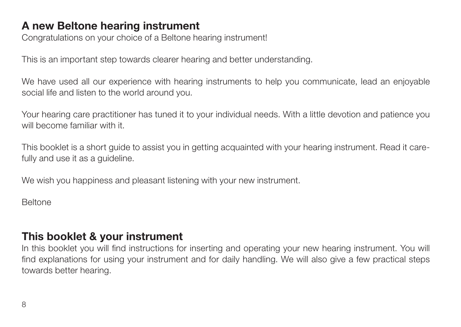#### A new Beltone hearing instrument

Congratulations on your choice of a Beltone hearing instrument!

This is an important step towards clearer hearing and better understanding.

We have used all our experience with hearing instruments to help you communicate, lead an enjoyable social life and listen to the world around you.

Your hearing care practitioner has tuned it to your individual needs. With a little devotion and patience you will become familiar with it.

This booklet is a short quide to assist you in getting acquainted with your hearing instrument. Read it carefully and use it as a quideline.

We wish you happiness and pleasant listening with your new instrument.

Beltone

#### This booklet & your instrument

In this booklet you will find instructions for inserting and operating your new hearing instrument. You will find explanations for using your instrument and for daily handling. We will also give a few practical steps towards better hearing.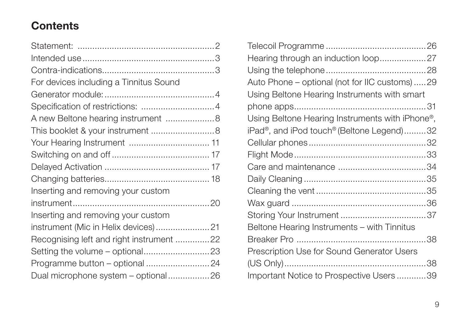# **Contents**

| For devices including a Tinnitus Sound   |  |
|------------------------------------------|--|
|                                          |  |
|                                          |  |
| A new Beltone hearing instrument  8      |  |
|                                          |  |
|                                          |  |
|                                          |  |
|                                          |  |
|                                          |  |
| Inserting and removing your custom       |  |
|                                          |  |
| Inserting and removing your custom       |  |
| instrument (Mic in Helix devices)21      |  |
| Recognising left and right instrument 22 |  |
|                                          |  |
|                                          |  |
| Dual microphone system - optional26      |  |

| Hearing through an induction loop27                                |  |
|--------------------------------------------------------------------|--|
|                                                                    |  |
| Auto Phone - optional (not for IIC customs) 29                     |  |
| Using Beltone Hearing Instruments with smart                       |  |
|                                                                    |  |
| Using Beltone Hearing Instruments with iPhone®,                    |  |
| iPad <sup>®</sup> , and iPod touch <sup>®</sup> (Beltone Legend)32 |  |
|                                                                    |  |
|                                                                    |  |
|                                                                    |  |
|                                                                    |  |
|                                                                    |  |
|                                                                    |  |
|                                                                    |  |
| Beltone Hearing Instruments - with Tinnitus                        |  |
|                                                                    |  |
| Prescription Use for Sound Generator Users                         |  |
|                                                                    |  |
| Important Notice to Prospective Users39                            |  |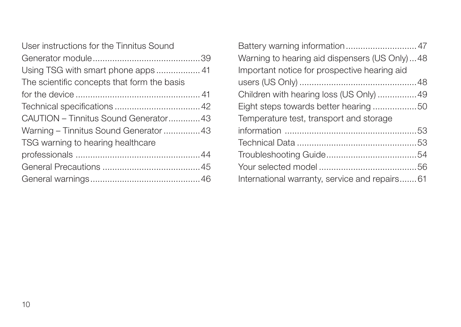| User instructions for the Tinnitus Sound    |  |
|---------------------------------------------|--|
|                                             |  |
|                                             |  |
| The scientific concepts that form the basis |  |
|                                             |  |
|                                             |  |
| CAUTION - Tinnitus Sound Generator43        |  |
| Warning - Tinnitus Sound Generator 43       |  |
| TSG warning to hearing healthcare           |  |
|                                             |  |
|                                             |  |
|                                             |  |
|                                             |  |

| Warning to hearing aid dispensers (US Only)48 |  |
|-----------------------------------------------|--|
| Important notice for prospective hearing aid  |  |
|                                               |  |
| Children with hearing loss (US Only) 49       |  |
| Eight steps towards better hearing50          |  |
| Temperature test, transport and storage       |  |
|                                               |  |
|                                               |  |
|                                               |  |
|                                               |  |
| International warranty, service and repairs61 |  |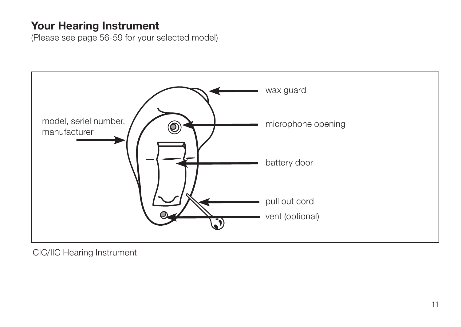#### Your Hearing Instrument

(Please see page 56-59 for your selected model)



CIC/IIC Hearing Instrument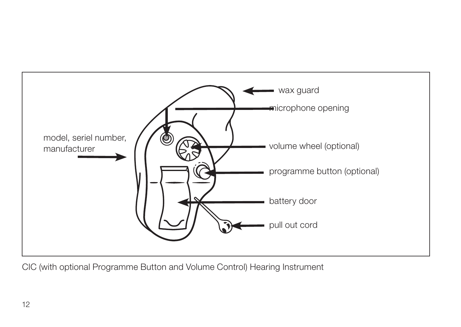

CIC (with optional Programme Button and Volume Control) Hearing Instrument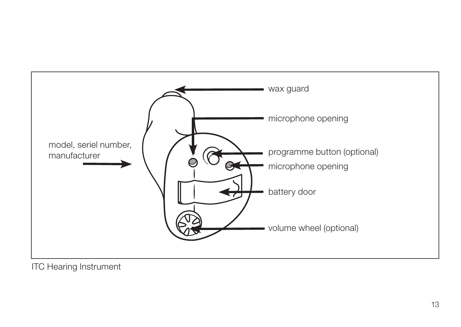

ITC Hearing Instrument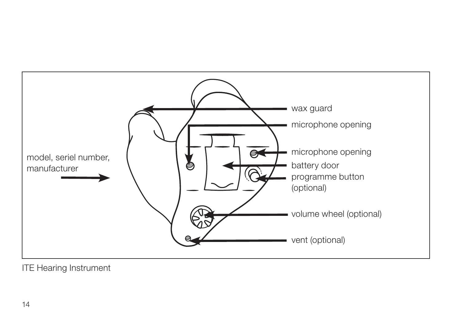

ITE Hearing Instrument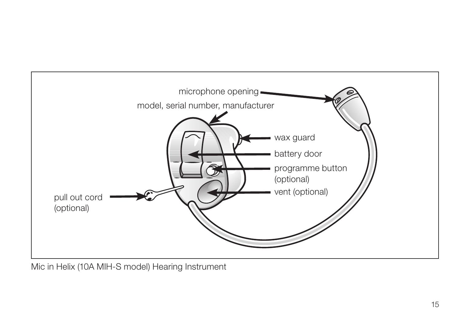

Mic in Helix (10A MIH-S model) Hearing Instrument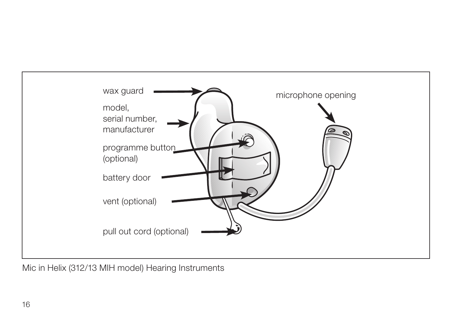

Mic in Helix (312/13 MIH model) Hearing Instruments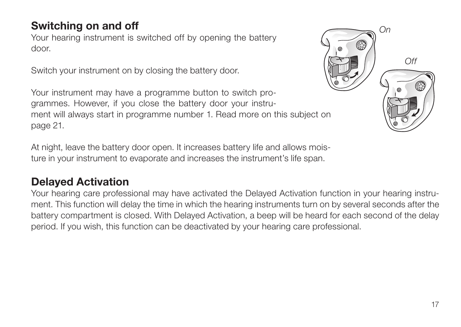# Switching on and off

Your hearing instrument is switched off by opening the battery door.

Switch your instrument on by closing the battery door.

Your instrument may have a programme button to switch programmes. However, if you close the battery door your instrument will always start in programme number 1. Read more on this subject on page 21.

At night, leave the battery door open. It increases battery life and allows moisture in your instrument to evaporate and increases the instrument's life span.

# Delayed Activation

Your hearing care professional may have activated the Delayed Activation function in your hearing instrument. This function will delay the time in which the hearing instruments turn on by several seconds after the battery compartment is closed. With Delayed Activation, a beep will be heard for each second of the delay period. If you wish, this function can be deactivated by your hearing care professional.

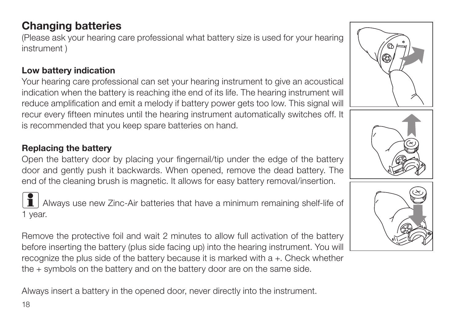# Changing batteries

(Please ask your hearing care professional what battery size is used for your hearing instrument )

#### Low battery indication

Your hearing care professional can set your hearing instrument to give an acoustical indication when the battery is reaching ithe end of its life. The hearing instrument will reduce amplification and emit a melody if battery power gets too low. This signal will recur every fifteen minutes until the hearing instrument automatically switches off. It is recommended that you keep spare batteries on hand.

#### Replacing the battery

Open the battery door by placing your fingernail/tip under the edge of the battery door and gently push it backwards. When opened, remove the dead battery. The end of the cleaning brush is magnetic. It allows for easy battery removal/insertion.

Always use new Zinc-Air batteries that have a minimum remaining shelf-life of 1 year.

Remove the protective foil and wait 2 minutes to allow full activation of the battery before inserting the battery (plus side facing up) into the hearing instrument. You will recognize the plus side of the battery because it is marked with  $a +$ . Check whether the + symbols on the battery and on the battery door are on the same side.

Always insert a battery in the opened door, never directly into the instrument.





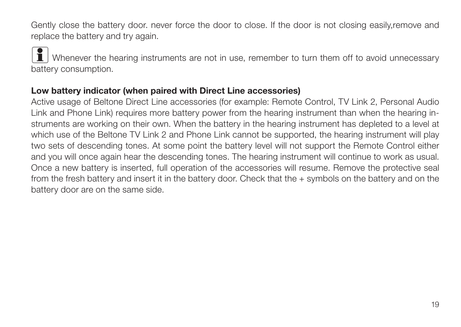Gently close the battery door. never force the door to close. If the door is not closing easily,remove and replace the battery and try again.

Whenever the hearing instruments are not in use, remember to turn them off to avoid unnecessary battery consumption.

#### Low battery indicator (when paired with Direct Line accessories)

Active usage of Beltone Direct Line accessories (for example: Remote Control, TV Link 2, Personal Audio Link and Phone Link) requires more battery power from the hearing instrument than when the hearing instruments are working on their own. When the battery in the hearing instrument has depleted to a level at which use of the Beltone TV Link 2 and Phone Link cannot be supported, the hearing instrument will play two sets of descending tones. At some point the battery level will not support the Remote Control either and you will once again hear the descending tones. The hearing instrument will continue to work as usual. Once a new battery is inserted, full operation of the accessories will resume. Remove the protective seal from the fresh battery and insert it in the battery door. Check that the + symbols on the battery and on the battery door are on the same side.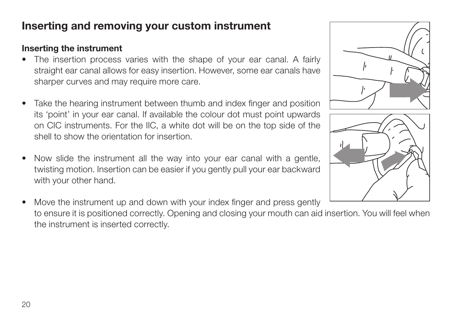### Inserting and removing your custom instrument

#### Inserting the instrument

- The insertion process varies with the shape of your ear canal. A fairly straight ear canal allows for easy insertion. However, some ear canals have sharper curves and may require more care.
- Take the hearing instrument between thumb and index finger and position its 'point' in your ear canal. If available the colour dot must point upwards on CIC instruments. For the IIC, a white dot will be on the top side of the shell to show the orientation for insertion.
- Now slide the instrument all the way into your ear canal with a gentle. twisting motion. Insertion can be easier if you gently pull your ear backward with your other hand.
- Move the instrument up and down with your index finger and press gently to ensure it is positioned correctly. Opening and closing your mouth can aid insertion. You will feel when the instrument is inserted correctly.



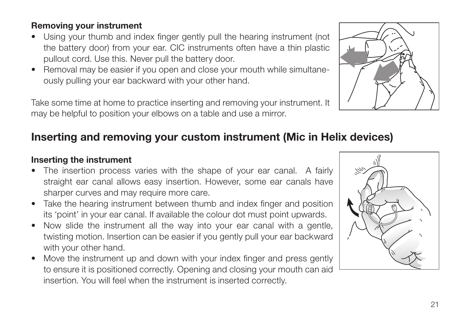#### Removing your instrument

- Using your thumb and index finger gently pull the hearing instrument (not the battery door) from your ear. CIC instruments often have a thin plastic pullout cord. Use this. Never pull the battery door.
- Removal may be easier if you open and close your mouth while simultaneously pulling your ear backward with your other hand.

Take some time at home to practice inserting and removing your instrument. It may be helpful to position your elbows on a table and use a mirror.

#### Inserting and removing your custom instrument (Mic in Helix devices)

#### Inserting the instrument

- The insertion process varies with the shape of your ear canal. A fairly straight ear canal allows easy insertion. However, some ear canals have sharper curves and may require more care.
- Take the hearing instrument between thumb and index finger and position its 'point' in your ear canal. If available the colour dot must point upwards.
- Now slide the instrument all the way into your ear canal with a gentle, twisting motion. Insertion can be easier if you gently pull your ear backward with your other hand.
- Move the instrument up and down with your index finger and press gently to ensure it is positioned correctly. Opening and closing your mouth can aid insertion. You will feel when the instrument is inserted correctly.



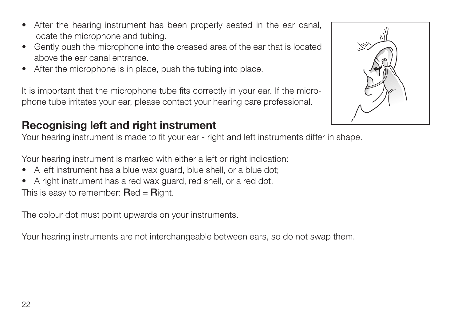- After the hearing instrument has been properly seated in the ear canal, locate the microphone and tubing.
- Gently push the microphone into the creased area of the ear that is located above the ear canal entrance.
- After the microphone is in place, push the tubing into place.

It is important that the microphone tube fits correctly in your ear. If the microphone tube irritates your ear, please contact your hearing care professional.

# Recognising left and right instrument

Your hearing instrument is made to fit your ear - right and left instruments differ in shape.

Your hearing instrument is marked with either a left or right indication:

- A left instrument has a blue wax guard, blue shell, or a blue dot;
- A right instrument has a red wax guard, red shell, or a red dot.

This is easy to remember:  $\text{Red} = \text{Richt}$ .

The colour dot must point upwards on your instruments.

Your hearing instruments are not interchangeable between ears, so do not swap them.

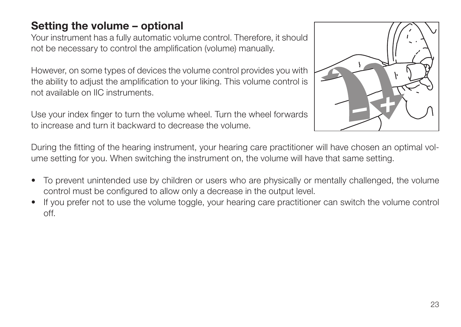### Setting the volume – optional

Your instrument has a fully automatic volume control. Therefore, it should not be necessary to control the amplification (volume) manually.

However, on some types of devices the volume control provides you with the ability to adjust the amplification to your liking. This volume control is not available on IIC instruments.

Use your index finger to turn the volume wheel. Turn the wheel forwards to increase and turn it backward to decrease the volume.



During the fitting of the hearing instrument, your hearing care practitioner will have chosen an optimal volume setting for you. When switching the instrument on, the volume will have that same setting.

- To prevent unintended use by children or users who are physically or mentally challenged, the volume control must be configured to allow only a decrease in the output level.
- If you prefer not to use the volume toggle, your hearing care practitioner can switch the volume control off.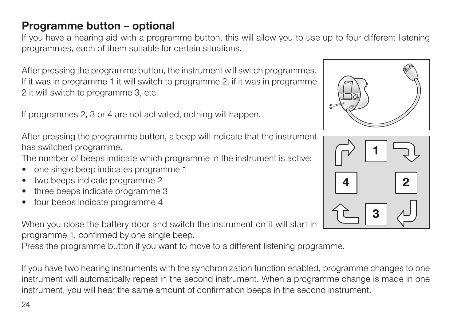### Programme button – optional

If you have a hearing aid with a programme button, this will allow you to use up to four different listening programmes, each of them suitable for certain situations.

After pressing the programme button, the instrument will switch programmes. If it was in programme 1 it will switch to programme 2, if it was in programme 2 it will switch to programme 3, etc.

If programmes 2, 3 or 4 are not activated, nothing will happen.

After pressing the programme button, a beep will indicate that the instrument has switched programme.

The number of beeps indicate which programme in the instrument is active:

- one single beep indicates programme 1
- two beeps indicate programme 2
- three beeps indicate programme 3
- four beeps indicate programme 4

When you close the battery door and switch the instrument on it will start in programme 1, confirmed by one single beep.

Press the programme button if you want to move to a different listening programme.

If you have two hearing instruments with the synchronization function enabled, programme changes to one instrument will automatically repeat in the second instrument. When a programme change is made in one instrument, you will hear the same amount of confirmation beeps in the second instrument.



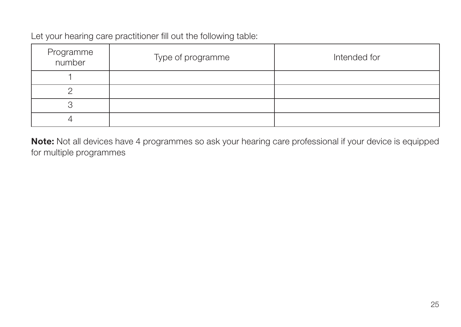#### Let your hearing care practitioner fill out the following table:

| Programme<br>number | Type of programme | Intended for |
|---------------------|-------------------|--------------|
|                     |                   |              |
|                     |                   |              |
|                     |                   |              |
|                     |                   |              |

Note: Not all devices have 4 programmes so ask your hearing care professional if your device is equipped for multiple programmes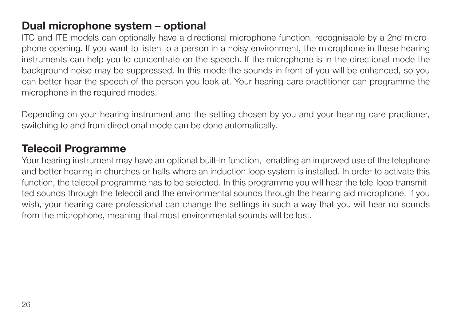#### Dual microphone system – optional

ITC and ITE models can optionally have a directional microphone function, recognisable by a 2nd microphone opening. If you want to listen to a person in a noisy environment, the microphone in these hearing instruments can help you to concentrate on the speech. If the microphone is in the directional mode the background noise may be suppressed. In this mode the sounds in front of you will be enhanced, so you can better hear the speech of the person you look at. Your hearing care practitioner can programme the microphone in the required modes.

Depending on your hearing instrument and the setting chosen by you and your hearing care practioner, switching to and from directional mode can be done automatically.

# Telecoil Programme

Your hearing instrument may have an optional built-in function, enabling an improved use of the telephone and better hearing in churches or halls where an induction loop system is installed. In order to activate this function, the telecoil programme has to be selected. In this programme you will hear the tele-loop transmitted sounds through the telecoil and the environmental sounds through the hearing aid microphone. If you wish, your hearing care professional can change the settings in such a way that you will hear no sounds from the microphone, meaning that most environmental sounds will be lost.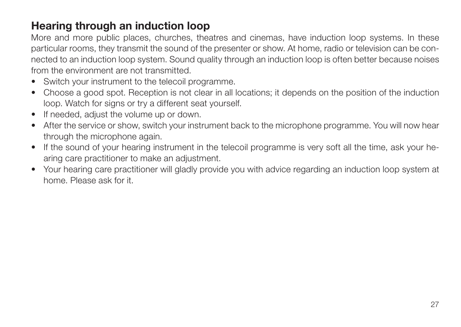# Hearing through an induction loop

More and more public places, churches, theatres and cinemas, have induction loop systems. In these particular rooms, they transmit the sound of the presenter or show. At home, radio or television can be connected to an induction loop system. Sound quality through an induction loop is often better because noises from the environment are not transmitted.

- Switch your instrument to the telecoil programme.
- Choose a good spot. Reception is not clear in all locations; it depends on the position of the induction loop. Watch for signs or try a different seat yourself.
- If needed, adjust the volume up or down.
- After the service or show, switch your instrument back to the microphone programme. You will now hear through the microphone again.
- If the sound of your hearing instrument in the telecoil programme is very soft all the time, ask your hearing care practitioner to make an adjustment.
- Your hearing care practitioner will gladly provide you with advice regarding an induction loop system at home. Please ask for it.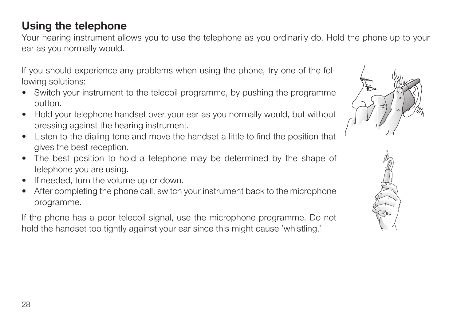# Using the telephone

Your hearing instrument allows you to use the telephone as you ordinarily do. Hold the phone up to your ear as you normally would.

If you should experience any problems when using the phone, try one of the following solutions:

- Switch your instrument to the telecoil programme, by pushing the programme button.
- Hold your telephone handset over your ear as you normally would, but without pressing against the hearing instrument.
- Listen to the dialing tone and move the handset a little to find the position that gives the best reception.
- The best position to hold a telephone may be determined by the shape of telephone you are using.
- If needed, turn the volume up or down.
- After completing the phone call, switch your instrument back to the microphone programme.

If the phone has a poor telecoil signal, use the microphone programme. Do not hold the handset too tightly against your ear since this might cause 'whistling.'



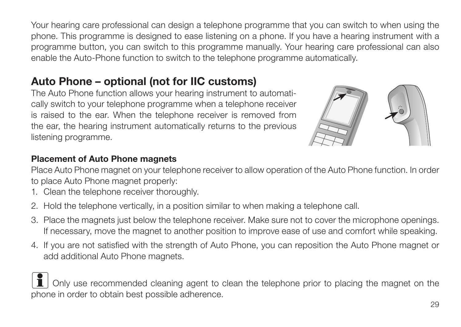Your hearing care professional can design a telephone programme that you can switch to when using the phone. This programme is designed to ease listening on a phone. If you have a hearing instrument with a programme button, you can switch to this programme manually. Your hearing care professional can also enable the Auto-Phone function to switch to the telephone programme automatically.

# Auto Phone – optional (not for IIC customs)

The Auto Phone function allows your hearing instrument to automatically switch to your telephone programme when a telephone receiver is raised to the ear. When the telephone receiver is removed from the ear, the hearing instrument automatically returns to the previous listening programme.



#### Placement of Auto Phone magnets

Place Auto Phone magnet on your telephone receiver to allow operation of the Auto Phone function. In order to place Auto Phone magnet properly:

- 1. Clean the telephone receiver thoroughly.
- 2. Hold the telephone vertically, in a position similar to when making a telephone call.
- 3. Place the magnets just below the telephone receiver. Make sure not to cover the microphone openings. If necessary, move the magnet to another position to improve ease of use and comfort while speaking.
- 4. If you are not satisfied with the strength of Auto Phone, you can reposition the Auto Phone magnet or add additional Auto Phone magnets.

Only use recommended cleaning agent to clean the telephone prior to placing the magnet on the phone in order to obtain best possible adherence.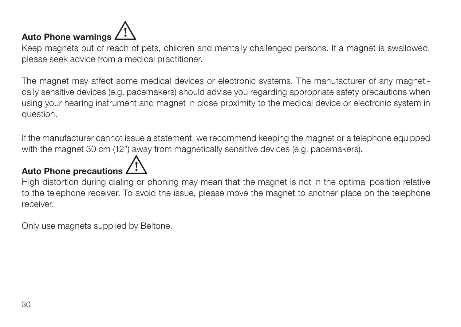# Auto Phone warnings i

Keep magnets out of reach of pets, children and mentally challenged persons. If a magnet is swallowed, please seek advice from a medical practitioner.

The magnet may affect some medical devices or electronic systems. The manufacturer of any magnetically sensitive devices (e.g. pacemakers) should advise you regarding appropriate safety precautions when using your hearing instrument and magnet in close proximity to the medical device or electronic system in question.

If the manufacturer cannot issue a statement, we recommend keeping the magnet or a telephone equipped with the magnet 30 cm (12") away from magnetically sensitive devices (e.g. pacemakers).

### Auto Phone precautions  $\triangle$

High distortion during dialing or phoning may mean that the magnet is not in the optimal position relative to the telephone receiver. To avoid the issue, please move the magnet to another place on the telephone receiver.

Only use magnets supplied by Beltone.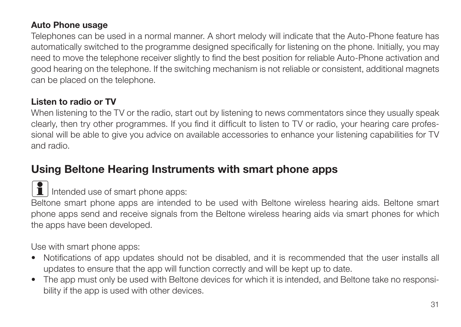#### Auto Phone usage

Telephones can be used in a normal manner. A short melody will indicate that the Auto-Phone feature has automatically switched to the programme designed specifically for listening on the phone. Initially, you may need to move the telephone receiver slightly to find the best position for reliable Auto-Phone activation and good hearing on the telephone. If the switching mechanism is not reliable or consistent, additional magnets can be placed on the telephone.

#### Listen to radio or TV

When listening to the TV or the radio, start out by listening to news commentators since they usually speak clearly, then try other programmes. If you find it difficult to listen to TV or radio, your hearing care professional will be able to give you advice on available accessories to enhance your listening capabilities for TV and radio.

# Using Beltone Hearing Instruments with smart phone apps

# I Intended use of smart phone apps:

Beltone smart phone apps are intended to be used with Beltone wireless hearing aids. Beltone smart phone apps send and receive signals from the Beltone wireless hearing aids via smart phones for which the apps have been developed.

Use with smart phone apps:

- Notifications of app updates should not be disabled, and it is recommended that the user installs all updates to ensure that the app will function correctly and will be kept up to date.
- The app must only be used with Beltone devices for which it is intended, and Beltone take no responsibility if the app is used with other devices.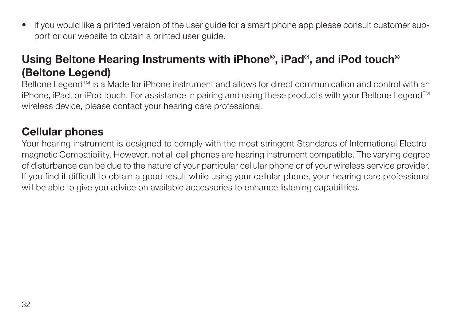• If you would like a printed version of the user guide for a smart phone app please consult customer support or our website to obtain a printed user guide.

# Using Beltone Hearing Instruments with iPhone®, iPad®, and iPod touch® (Beltone Legend)

Beltone Legend™ is a Made for iPhone instrument and allows for direct communication and control with an iPhone, iPad, or iPod touch. For assistance in pairing and using these products with your Beltone Legend™ wireless device, please contact your hearing care professional.

# Cellular phones

Your hearing instrument is designed to comply with the most stringent Standards of International Electromagnetic Compatibility. However, not all cell phones are hearing instrument compatible. The varying degree of disturbance can be due to the nature of your particular cellular phone or of your wireless service provider. If you find it difficult to obtain a good result while using your cellular phone, your hearing care professional will be able to give you advice on available accessories to enhance listening capabilities.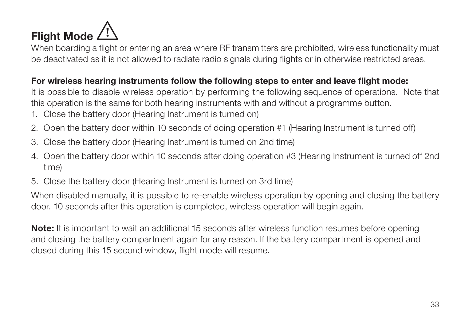

When boarding a flight or entering an area where RF transmitters are prohibited, wireless functionality must be deactivated as it is not allowed to radiate radio signals during flights or in otherwise restricted areas.

#### For wireless hearing instruments follow the following steps to enter and leave flight mode:

It is possible to disable wireless operation by performing the following sequence of operations. Note that this operation is the same for both hearing instruments with and without a programme button.

- 1. Close the battery door (Hearing Instrument is turned on)
- 2. Open the battery door within 10 seconds of doing operation #1 (Hearing Instrument is turned off)
- 3. Close the battery door (Hearing Instrument is turned on 2nd time)
- 4. Open the battery door within 10 seconds after doing operation #3 (Hearing Instrument is turned off 2nd time)
- 5. Close the battery door (Hearing Instrument is turned on 3rd time)

When disabled manually, it is possible to re-enable wireless operation by opening and closing the battery door. 10 seconds after this operation is completed, wireless operation will begin again.

Note: It is important to wait an additional 15 seconds after wireless function resumes before opening and closing the battery compartment again for any reason. If the battery compartment is opened and closed during this 15 second window, flight mode will resume.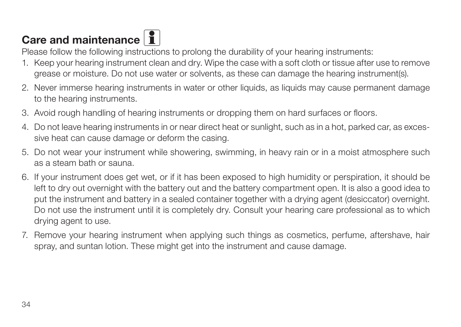# **Care and maintenance**  $\boxed{\mathbf{1}}$

Please follow the following instructions to prolong the durability of your hearing instruments:

- 1. Keep your hearing instrument clean and dry. Wipe the case with a soft cloth or tissue after use to remove grease or moisture. Do not use water or solvents, as these can damage the hearing instrument(s).
- 2. Never immerse hearing instruments in water or other liquids, as liquids may cause permanent damage to the hearing instruments.
- 3. Avoid rough handling of hearing instruments or dropping them on hard surfaces or floors.
- 4. Do not leave hearing instruments in or near direct heat or sunlight, such as in a hot, parked car, as excessive heat can cause damage or deform the casing.
- 5. Do not wear your instrument while showering, swimming, in heavy rain or in a moist atmosphere such as a steam bath or sauna.
- 6. If your instrument does get wet, or if it has been exposed to high humidity or perspiration, it should be left to dry out overnight with the battery out and the battery compartment open. It is also a good idea to put the instrument and battery in a sealed container together with a drying agent (desiccator) overnight. Do not use the instrument until it is completely dry. Consult your hearing care professional as to which drying agent to use.
- 7. Remove your hearing instrument when applying such things as cosmetics, perfume, aftershave, hair spray, and suntan lotion. These might get into the instrument and cause damage.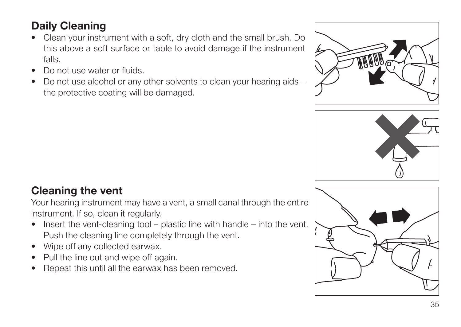# Daily Cleaning

- Clean your instrument with a soft, dry cloth and the small brush. Do this above a soft surface or table to avoid damage if the instrument falls.
- Do not use water or fluids.
- Do not use alcohol or any other solvents to clean your hearing aids the protective coating will be damaged.

#### Cleaning the vent

Your hearing instrument may have a vent, a small canal through the entire instrument. If so, clean it regularly.

- Insert the vent-cleaning tool plastic line with handle into the vent. Push the cleaning line completely through the vent.
- Wipe off any collected earwax.
- Pull the line out and wipe off again.
- Repeat this until all the earwax has been removed.





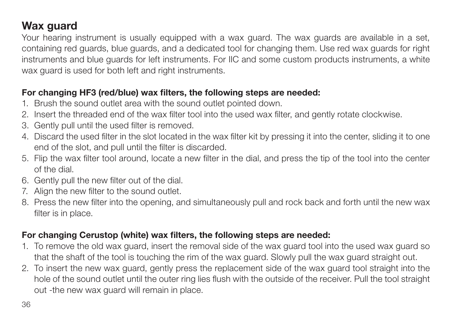# Wax guard

Your hearing instrument is usually equipped with a wax quard. The wax quards are available in a set, containing red guards, blue guards, and a dedicated tool for changing them. Use red wax guards for right instruments and blue guards for left instruments. For IIC and some custom products instruments, a white wax guard is used for both left and right instruments.

#### For changing HF3 (red/blue) wax filters, the following steps are needed:

- 1. Brush the sound outlet area with the sound outlet pointed down.
- 2. Insert the threaded end of the wax filter tool into the used wax filter, and gently rotate clockwise.
- 3. Gently pull until the used filter is removed.
- 4. Discard the used filter in the slot located in the wax filter kit by pressing it into the center, sliding it to one end of the slot, and pull until the filter is discarded.
- 5. Flip the wax filter tool around, locate a new filter in the dial, and press the tip of the tool into the center of the dial.
- 6. Gently pull the new filter out of the dial.
- 7. Align the new filter to the sound outlet.
- 8. Press the new filter into the opening, and simultaneously pull and rock back and forth until the new wax filter is in place.

#### For changing Cerustop (white) wax filters, the following steps are needed:

- 1. To remove the old wax guard, insert the removal side of the wax guard tool into the used wax guard so that the shaft of the tool is touching the rim of the wax guard. Slowly pull the wax guard straight out.
- 2. To insert the new wax guard, gently press the replacement side of the wax guard tool straight into the hole of the sound outlet until the outer ring lies flush with the outside of the receiver. Pull the tool straight out -the new wax guard will remain in place.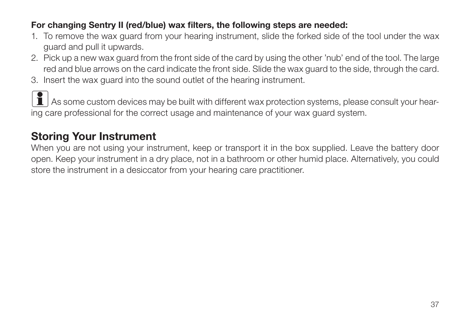#### For changing Sentry II (red/blue) wax filters, the following steps are needed:

- 1. To remove the wax guard from your hearing instrument, slide the forked side of the tool under the wax guard and pull it upwards.
- 2. Pick up a new wax guard from the front side of the card by using the other 'nub' end of the tool. The large red and blue arrows on the card indicate the front side. Slide the wax guard to the side, through the card.
- 3. Insert the wax guard into the sound outlet of the hearing instrument.

 $\blacksquare$  As some custom devices may be built with different wax protection systems, please consult your hearing care professional for the correct usage and maintenance of your wax guard system.

# Storing Your Instrument

When you are not using your instrument, keep or transport it in the box supplied. Leave the battery door open. Keep your instrument in a dry place, not in a bathroom or other humid place. Alternatively, you could store the instrument in a desiccator from your hearing care practitioner.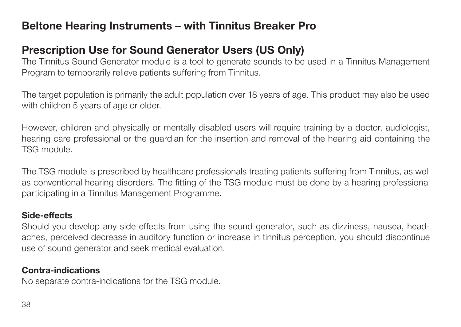### Beltone Hearing Instruments – with Tinnitus Breaker Pro

# Prescription Use for Sound Generator Users (US Only)

The Tinnitus Sound Generator module is a tool to generate sounds to be used in a Tinnitus Management Program to temporarily relieve patients suffering from Tinnitus.

The target population is primarily the adult population over 18 years of age. This product may also be used with children 5 years of age or older.

However, children and physically or mentally disabled users will require training by a doctor, audiologist, hearing care professional or the guardian for the insertion and removal of the hearing aid containing the TSG module.

The TSG module is prescribed by healthcare professionals treating patients suffering from Tinnitus, as well as conventional hearing disorders. The fitting of the TSG module must be done by a hearing professional participating in a Tinnitus Management Programme.

#### Side-effects

Should you develop any side effects from using the sound generator, such as dizziness, nausea, headaches, perceived decrease in auditory function or increase in tinnitus perception, you should discontinue use of sound generator and seek medical evaluation.

#### Contra-indications

No separate contra-indications for the TSG module.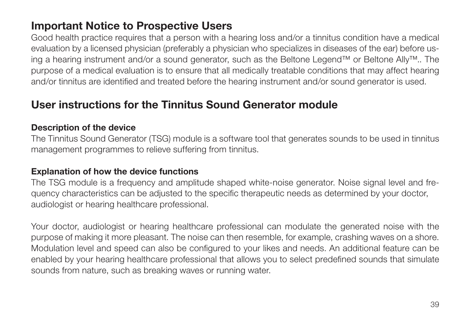### Important Notice to Prospective Users

Good health practice requires that a person with a hearing loss and/or a tinnitus condition have a medical evaluation by a licensed physician (preferably a physician who specializes in diseases of the ear) before using a hearing instrument and/or a sound generator, such as the Beltone Legend™ or Beltone Ally™.. The purpose of a medical evaluation is to ensure that all medically treatable conditions that may affect hearing and/or tinnitus are identified and treated before the hearing instrument and/or sound generator is used.

### User instructions for the Tinnitus Sound Generator module

#### Description of the device

The Tinnitus Sound Generator (TSG) module is a software tool that generates sounds to be used in tinnitus management programmes to relieve suffering from tinnitus.

#### Explanation of how the device functions

The TSG module is a frequency and amplitude shaped white-noise generator. Noise signal level and frequency characteristics can be adjusted to the specific therapeutic needs as determined by your doctor, audiologist or hearing healthcare professional.

Your doctor, audiologist or hearing healthcare professional can modulate the generated noise with the purpose of making it more pleasant. The noise can then resemble, for example, crashing waves on a shore. Modulation level and speed can also be configured to your likes and needs. An additional feature can be enabled by your hearing healthcare professional that allows you to select predefined sounds that simulate sounds from nature, such as breaking waves or running water.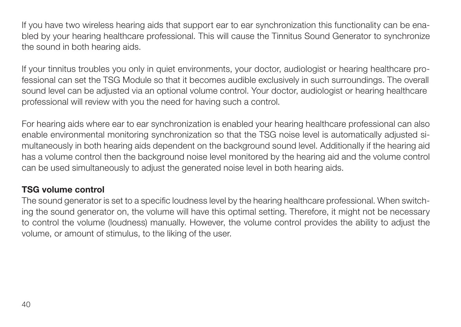If you have two wireless hearing aids that support ear to ear synchronization this functionality can be enabled by your hearing healthcare professional. This will cause the Tinnitus Sound Generator to synchronize the sound in both hearing aids.

If your tinnitus troubles you only in quiet environments, your doctor, audiologist or hearing healthcare professional can set the TSG Module so that it becomes audible exclusively in such surroundings. The overall sound level can be adjusted via an optional volume control. Your doctor, audiologist or hearing healthcare professional will review with you the need for having such a control.

For hearing aids where ear to ear synchronization is enabled your hearing healthcare professional can also enable environmental monitoring synchronization so that the TSG noise level is automatically adjusted simultaneously in both hearing aids dependent on the background sound level. Additionally if the hearing aid has a volume control then the background noise level monitored by the hearing aid and the volume control can be used simultaneously to adjust the generated noise level in both hearing aids.

#### TSG volume control

The sound generator is set to a specific loudness level by the hearing healthcare professional. When switching the sound generator on, the volume will have this optimal setting. Therefore, it might not be necessary to control the volume (loudness) manually. However, the volume control provides the ability to adjust the volume, or amount of stimulus, to the liking of the user.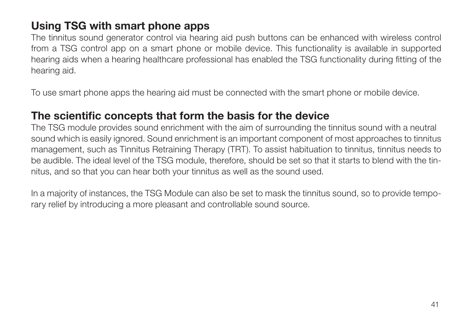# Using TSG with smart phone apps

The tinnitus sound generator control via hearing aid push buttons can be enhanced with wireless control from a TSG control app on a smart phone or mobile device. This functionality is available in supported hearing aids when a hearing healthcare professional has enabled the TSG functionality during fitting of the hearing aid.

To use smart phone apps the hearing aid must be connected with the smart phone or mobile device.

#### The scientific concepts that form the basis for the device

The TSG module provides sound enrichment with the aim of surrounding the tinnitus sound with a neutral sound which is easily ignored. Sound enrichment is an important component of most approaches to tinnitus management, such as Tinnitus Retraining Therapy (TRT). To assist habituation to tinnitus, tinnitus needs to be audible. The ideal level of the TSG module, therefore, should be set so that it starts to blend with the tinnitus, and so that you can hear both your tinnitus as well as the sound used.

In a majority of instances, the TSG Module can also be set to mask the tinnitus sound, so to provide temporary relief by introducing a more pleasant and controllable sound source.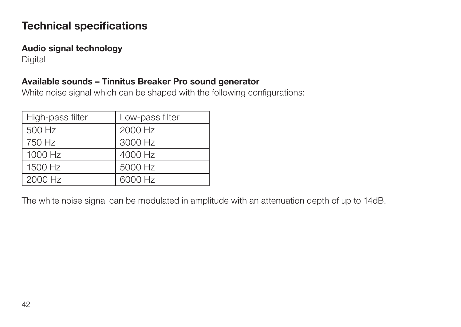### Technical specifications

#### Audio signal technology

**Digital** 

#### Available sounds – Tinnitus Breaker Pro sound generator

White noise signal which can be shaped with the following configurations:

| High-pass filter | Low-pass filter |
|------------------|-----------------|
| 500 Hz           | 2000 Hz         |
| 750 Hz           | 3000 Hz         |
| 1000 Hz          | 4000 Hz         |
| 1500 Hz          | 5000 Hz         |
| 2000 Hz          | 6000 Hz         |

The white noise signal can be modulated in amplitude with an attenuation depth of up to 14dB.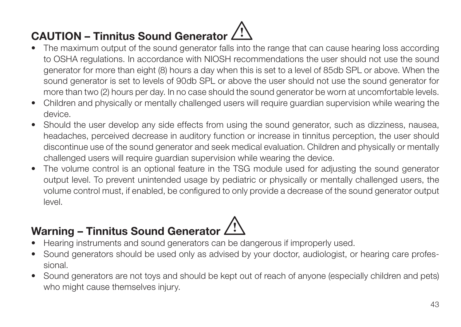### CAUTION – Tinnitus Sound Generator  $\triangle$

- The maximum output of the sound generator falls into the range that can cause hearing loss according to OSHA regulations. In accordance with NIOSH recommendations the user should not use the sound generator for more than eight (8) hours a day when this is set to a level of 85db SPL or above. When the sound generator is set to levels of 90db SPL or above the user should not use the sound generator for more than two (2) hours per day. In no case should the sound generator be worn at uncomfortable levels.
- Children and physically or mentally challenged users will require guardian supervision while wearing the device.
- Should the user develop any side effects from using the sound generator, such as dizziness, nausea, headaches, perceived decrease in auditory function or increase in tinnitus perception, the user should discontinue use of the sound generator and seek medical evaluation. Children and physically or mentally challenged users will require guardian supervision while wearing the device.
- The volume control is an optional feature in the TSG module used for adjusting the sound generator output level. To prevent unintended usage by pediatric or physically or mentally challenged users, the volume control must, if enabled, be configured to only provide a decrease of the sound generator output level.

# Warning – Tinnitus Sound Generator  $\hat{\mathbb{R}}$

- Hearing instruments and sound generators can be dangerous if improperly used.
- Sound generators should be used only as advised by your doctor, audiologist, or hearing care professional.
- Sound generators are not toys and should be kept out of reach of anyone (especially children and pets) who might cause themselves injury.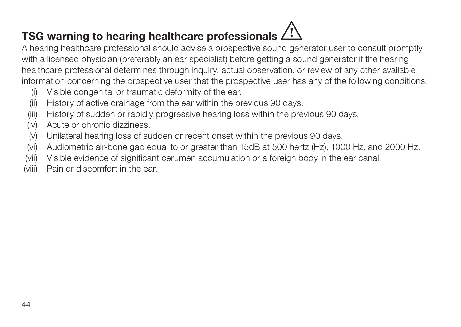# TSG warning to hearing healthcare professionals  $\bigwedge$

A hearing healthcare professional should advise a prospective sound generator user to consult promptly with a licensed physician (preferably an ear specialist) before getting a sound generator if the hearing healthcare professional determines through inquiry, actual observation, or review of any other available information concerning the prospective user that the prospective user has any of the following conditions:

- (i) Visible congenital or traumatic deformity of the ear.
- (ii) History of active drainage from the ear within the previous 90 days.
- (iii) History of sudden or rapidly progressive hearing loss within the previous 90 days.
- (iv) Acute or chronic dizziness.
- (v) Unilateral hearing loss of sudden or recent onset within the previous 90 days.
- (vi) Audiometric air-bone gap equal to or greater than 15dB at 500 hertz (Hz), 1000 Hz, and 2000 Hz.
- (vii) Visible evidence of significant cerumen accumulation or a foreign body in the ear canal.
- (viii) Pain or discomfort in the ear.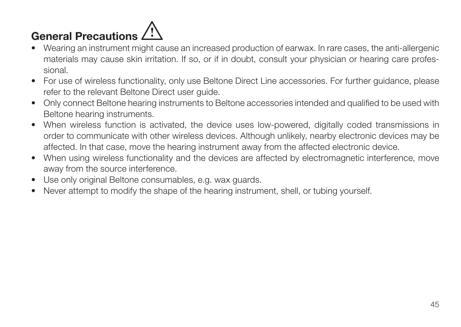### General Precautions  $\triangle$

- Wearing an instrument might cause an increased production of earwax. In rare cases, the anti-allergenic materials may cause skin irritation. If so, or if in doubt, consult your physician or hearing care professional.
- For use of wireless functionality, only use Beltone Direct Line accessories. For further guidance, please refer to the relevant Beltone Direct user guide.
- Only connect Beltone hearing instruments to Beltone accessories intended and qualified to be used with Beltone hearing instruments.
- When wireless function is activated, the device uses low-powered, digitally coded transmissions in order to communicate with other wireless devices. Although unlikely, nearby electronic devices may be affected. In that case, move the hearing instrument away from the affected electronic device.
- When using wireless functionality and the devices are affected by electromagnetic interference, move away from the source interference.
- Use only original Beltone consumables, e.g. wax guards.
- Never attempt to modify the shape of the hearing instrument, shell, or tubing yourself.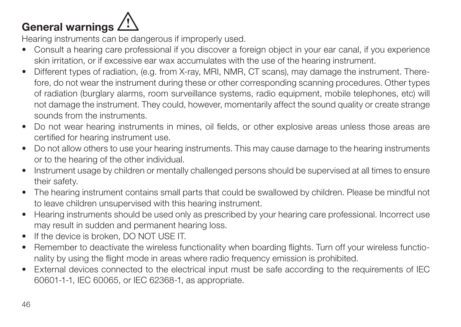### General warnings  $\triangle$

Hearing instruments can be dangerous if improperly used.

- Consult a hearing care professional if you discover a foreign object in your ear canal, if you experience skin irritation, or if excessive ear wax accumulates with the use of the hearing instrument.
- Different types of radiation, (e.g. from X-ray, MRI, NMR, CT scans), may damage the instrument. Therefore, do not wear the instrument during these or other corresponding scanning procedures. Other types of radiation (burglary alarms, room surveillance systems, radio equipment, mobile telephones, etc) will not damage the instrument. They could, however, momentarily affect the sound quality or create strange sounds from the instruments.
- Do not wear hearing instruments in mines, oil fields, or other explosive areas unless those areas are certified for hearing instrument use.
- Do not allow others to use your hearing instruments. This may cause damage to the hearing instruments or to the hearing of the other individual.
- Instrument usage by children or mentally challenged persons should be supervised at all times to ensure their safety.
- The hearing instrument contains small parts that could be swallowed by children. Please be mindful not to leave children unsupervised with this hearing instrument.
- Hearing instruments should be used only as prescribed by your hearing care professional. Incorrect use may result in sudden and permanent hearing loss.
- If the device is broken, DO NOT USE IT.
- Remember to deactivate the wireless functionality when boarding flights. Turn off your wireless functionality by using the flight mode in areas where radio frequency emission is prohibited.
- External devices connected to the electrical input must be safe according to the requirements of IEC 60601-1-1, IEC 60065, or IEC 62368-1, as appropriate.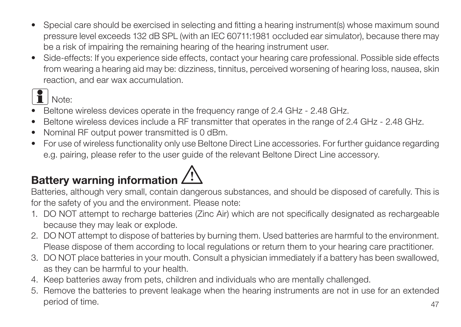- Special care should be exercised in selecting and fitting a hearing instrument(s) whose maximum sound pressure level exceeds 132 dB SPL (with an IEC 60711:1981 occluded ear simulator), because there may be a risk of impairing the remaining hearing of the hearing instrument user.
- Side-effects: If you experience side effects, contact your hearing care professional. Possible side effects from wearing a hearing aid may be: dizziness, tinnitus, perceived worsening of hearing loss, nausea, skin reaction, and ear wax accumulation.

- i Note: Beltone wireless devices operate in the frequency range of 2.4 GHz 2.48 GHz.
- Beltone wireless devices include a RF transmitter that operates in the range of 2.4 GHz 2.48 GHz.
- Nominal RF output power transmitted is 0 dBm.
- For use of wireless functionality only use Beltone Direct Line accessories. For further guidance regarding e.g. pairing, please refer to the user guide of the relevant Beltone Direct Line accessory.

# Battery warning information  $\hat{\mathbb{R}}$

Batteries, although very small, contain dangerous substances, and should be disposed of carefully. This is for the safety of you and the environment. Please note:

- 1. DO NOT attempt to recharge batteries (Zinc Air) which are not specifically designated as rechargeable because they may leak or explode.
- 2. DO NOT attempt to dispose of batteries by burning them. Used batteries are harmful to the environment. Please dispose of them according to local regulations or return them to your hearing care practitioner.
- 3. DO NOT place batteries in your mouth. Consult a physician immediately if a battery has been swallowed, as they can be harmful to your health.
- 4. Keep batteries away from pets, children and individuals who are mentally challenged.
- 47 5. Remove the batteries to prevent leakage when the hearing instruments are not in use for an extended period of time.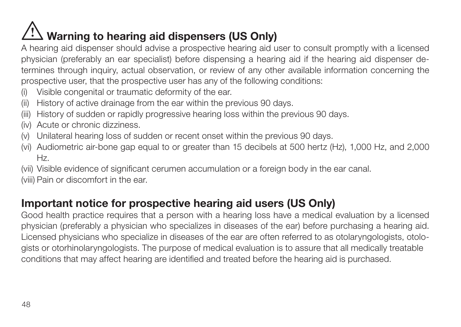# Warning to hearing aid dispensers (US Only)

A hearing aid dispenser should advise a prospective hearing aid user to consult promptly with a licensed physician (preferably an ear specialist) before dispensing a hearing aid if the hearing aid dispenser determines through inquiry, actual observation, or review of any other available information concerning the prospective user, that the prospective user has any of the following conditions:

- (i) Visible congenital or traumatic deformity of the ear.
- (ii) History of active drainage from the ear within the previous 90 days.
- (iii) History of sudden or rapidly progressive hearing loss within the previous 90 days.
- (iv) Acute or chronic dizziness.
- (v) Unilateral hearing loss of sudden or recent onset within the previous 90 days.
- (vi) Audiometric air-bone gap equal to or greater than 15 decibels at 500 hertz (Hz), 1,000 Hz, and 2,000 Hz.
- (vii) Visible evidence of significant cerumen accumulation or a foreign body in the ear canal.

(viii) Pain or discomfort in the ear.

# Important notice for prospective hearing aid users (US Only)

Good health practice requires that a person with a hearing loss have a medical evaluation by a licensed physician (preferably a physician who specializes in diseases of the ear) before purchasing a hearing aid. Licensed physicians who specialize in diseases of the ear are often referred to as otolaryngologists, otologists or otorhinolaryngologists. The purpose of medical evaluation is to assure that all medically treatable conditions that may affect hearing are identified and treated before the hearing aid is purchased.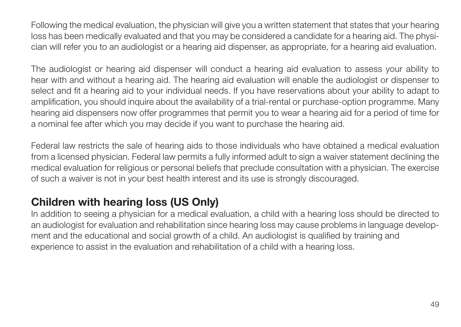Following the medical evaluation, the physician will give you a written statement that states that your hearing loss has been medically evaluated and that you may be considered a candidate for a hearing aid. The physician will refer you to an audiologist or a hearing aid dispenser, as appropriate, for a hearing aid evaluation.

The audiologist or hearing aid dispenser will conduct a hearing aid evaluation to assess your ability to hear with and without a hearing aid. The hearing aid evaluation will enable the audiologist or dispenser to select and fit a hearing aid to your individual needs. If you have reservations about your ability to adapt to amplification, you should inquire about the availability of a trial-rental or purchase-option programme. Many hearing aid dispensers now offer programmes that permit you to wear a hearing aid for a period of time for a nominal fee after which you may decide if you want to purchase the hearing aid.

Federal law restricts the sale of hearing aids to those individuals who have obtained a medical evaluation from a licensed physician. Federal law permits a fully informed adult to sign a waiver statement declining the medical evaluation for religious or personal beliefs that preclude consultation with a physician. The exercise of such a waiver is not in your best health interest and its use is strongly discouraged.

# Children with hearing loss (US Only)

In addition to seeing a physician for a medical evaluation, a child with a hearing loss should be directed to an audiologist for evaluation and rehabilitation since hearing loss may cause problems in language development and the educational and social growth of a child. An audiologist is qualified by training and experience to assist in the evaluation and rehabilitation of a child with a hearing loss.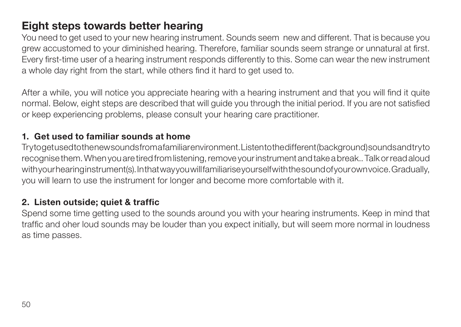# Eight steps towards better hearing

You need to get used to your new hearing instrument. Sounds seem new and different. That is because you grew accustomed to your diminished hearing. Therefore, familiar sounds seem strange or unnatural at first. Every first-time user of a hearing instrument responds differently to this. Some can wear the new instrument a whole day right from the start, while others find it hard to get used to.

After a while, you will notice you appreciate hearing with a hearing instrument and that you will find it quite normal. Below, eight steps are described that will guide you through the initial period. If you are not satisfied or keep experiencing problems, please consult your hearing care practitioner.

#### 1. Get used to familiar sounds at home

Try to get used to the new sounds from a familiar environment. Listen to the different (background) sounds and try to recognise them. When you are tired from listening, remove your instrument and take a break.. Talk or read aloud with your hearing instrument(s). In that way you will familiarise your self with the sound of your own voice. Gradually, you will learn to use the instrument for longer and become more comfortable with it.

#### 2. Listen outside; quiet & traffic

Spend some time getting used to the sounds around you with your hearing instruments. Keep in mind that traffic and oher loud sounds may be louder than you expect initially, but will seem more normal in loudness as time passes.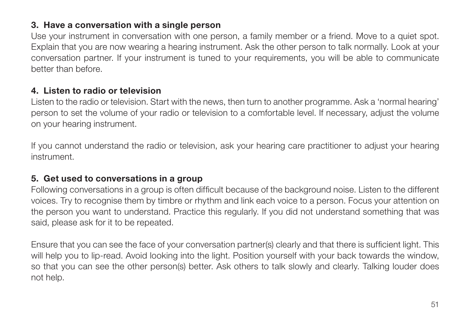#### 3. Have a conversation with a single person

Use your instrument in conversation with one person, a family member or a friend. Move to a quiet spot. Explain that you are now wearing a hearing instrument. Ask the other person to talk normally. Look at your conversation partner. If your instrument is tuned to your requirements, you will be able to communicate better than before.

#### 4. Listen to radio or television

Listen to the radio or television. Start with the news, then turn to another programme. Ask a 'normal hearing' person to set the volume of your radio or television to a comfortable level. If necessary, adjust the volume on your hearing instrument.

If you cannot understand the radio or television, ask your hearing care practitioner to adjust your hearing instrument.

#### 5. Get used to conversations in a group

Following conversations in a group is often difficult because of the background noise. Listen to the different voices. Try to recognise them by timbre or rhythm and link each voice to a person. Focus your attention on the person you want to understand. Practice this regularly. If you did not understand something that was said, please ask for it to be repeated.

Ensure that you can see the face of your conversation partner(s) clearly and that there is sufficient light. This will help you to lip-read. Avoid looking into the light. Position yourself with your back towards the window, so that you can see the other person(s) better. Ask others to talk slowly and clearly. Talking louder does not help.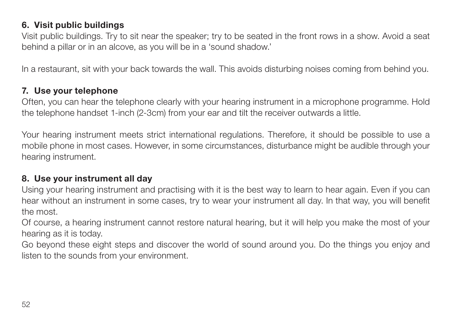#### 6. Visit public buildings

Visit public buildings. Try to sit near the speaker; try to be seated in the front rows in a show. Avoid a seat behind a pillar or in an alcove, as you will be in a 'sound shadow.'

In a restaurant, sit with your back towards the wall. This avoids disturbing noises coming from behind you.

#### 7. Use your telephone

Often, you can hear the telephone clearly with your hearing instrument in a microphone programme. Hold the telephone handset 1-inch (2-3cm) from your ear and tilt the receiver outwards a little.

Your hearing instrument meets strict international regulations. Therefore, it should be possible to use a mobile phone in most cases. However, in some circumstances, disturbance might be audible through your hearing instrument.

#### 8. Use your instrument all day

Using your hearing instrument and practising with it is the best way to learn to hear again. Even if you can hear without an instrument in some cases, try to wear your instrument all day. In that way, you will benefit the most.

Of course, a hearing instrument cannot restore natural hearing, but it will help you make the most of your hearing as it is today.

Go beyond these eight steps and discover the world of sound around you. Do the things you enjoy and listen to the sounds from your environment.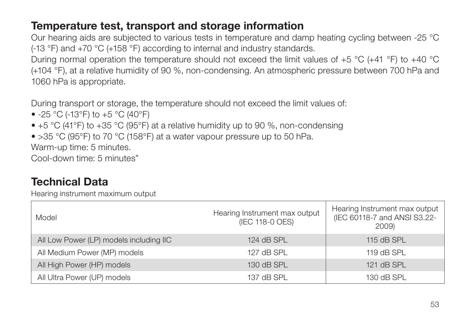#### Temperature test, transport and storage information

Our hearing aids are subjected to various tests in temperature and damp heating cycling between -25 °C (-13 °F) and +70 °C (+158 °F) according to internal and industry standards.

During normal operation the temperature should not exceed the limit values of +5 °C (+41 °F) to +40 °C (+104 °F), at a relative humidity of 90 %, non-condensing. An atmospheric pressure between 700 hPa and 1060 hPa is appropriate.

During transport or storage, the temperature should not exceed the limit values of:

- -25 °C (-13°F) to +5 °C (40°F)
- $\bullet$  +5 °C (41°F) to +35 °C (95°F) at a relative humidity up to 90 %, non-condensing
- >35 °C (95°F) to 70 °C (158°F) at a water vapour pressure up to 50 hPa.

Warm-up time: 5 minutes.

Cool-down time: 5 minutes"

# Technical Data

Hearing instrument maximum output

| Model                                   | Hearing Instrument max output<br>(IEC 118-0 OES) | Hearing Instrument max output  <br>(IEC 60118-7 and ANSI S3.22-<br>2009) |
|-----------------------------------------|--------------------------------------------------|--------------------------------------------------------------------------|
| All Low Power (LP) models including IIC | 124 dB SPL                                       | 115 dB SPL                                                               |
| All Medium Power (MP) models            | 127 dB SPL                                       | 119 dB SPL                                                               |
| All High Power (HP) models              | 130 dB SPL                                       | 121 dB SPL                                                               |
| All Ultra Power (UP) models             | 137 dB SPL                                       | 130 dB SPL                                                               |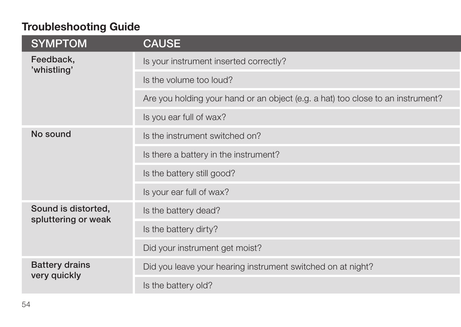# Troubleshooting Guide

| <b>SYMPTOM</b>                             | <b>CAUSE</b>                                                                    |
|--------------------------------------------|---------------------------------------------------------------------------------|
| Feedback,<br>'whistling'                   | Is your instrument inserted correctly?                                          |
|                                            | Is the volume too loud?                                                         |
|                                            | Are you holding your hand or an object (e.g. a hat) too close to an instrument? |
|                                            | Is you ear full of wax?                                                         |
| No sound                                   | Is the instrument switched on?                                                  |
|                                            | Is there a battery in the instrument?                                           |
|                                            | Is the battery still good?                                                      |
|                                            | Is your ear full of wax?                                                        |
| Sound is distorted,<br>spluttering or weak | Is the battery dead?                                                            |
|                                            | Is the battery dirty?                                                           |
|                                            | Did your instrument get moist?                                                  |
| <b>Battery drains</b>                      | Did you leave your hearing instrument switched on at night?                     |
| very quickly                               | Is the battery old?                                                             |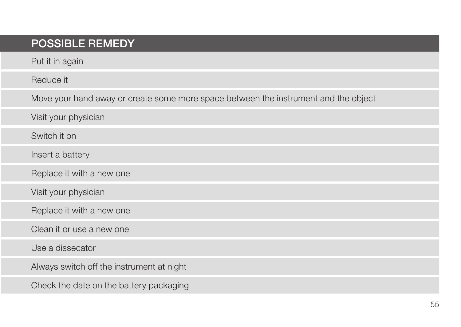|  | <b>POSSIBLE REMEDY</b> |
|--|------------------------|
|--|------------------------|

Put it in again

**Is the volume to Reduce it** 

Move your hand away or create some more space between the instrument and the object

Visit your physician

**No sound Is the instrument switch it on** 

Insert a battery

Replace it with a new one

Visit your physician

Replace it with a new one

Clean it or use a new one

Use a dissecator

Always switch off the instrument at night

Check the date on the battery packaging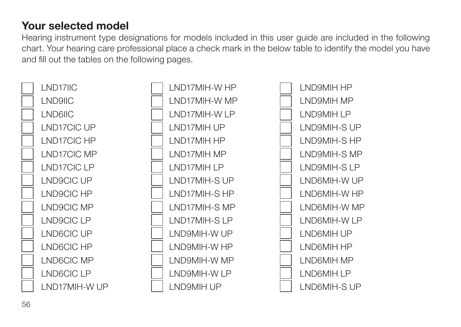# Your selected model

Hearing instrument type designations for models included in this user guide are included in the following chart. Your hearing care professional place a check mark in the below table to identify the model you have and fill out the tables on the following pages.

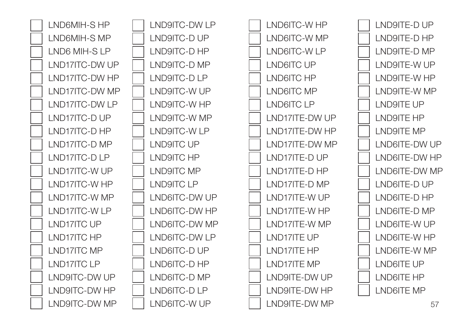LND6MIH-S HP LND6MIH-S MP LND6 MIH-S LP LND17ITC-DW UP LND17ITC-DW HP LND17ITC-DW MP LND17ITC-DW LP LND17ITC-D UP LND17ITC-D HP LND17ITC-D MP LND17ITC-D LP LND17ITC-W UP LND17ITC-W HP LND17ITC-W MP LND17ITC-W LP LND17ITC LIP LND17ITC HP LND17ITC MP LND17ITC LP LND9ITC-DW UP LND9ITC-DW HP LND9ITC-DW MP

LND9ITC-DW LP LND9ITC-D UP LND9ITC-D HP LND9ITC-D MP LND9ITC-D LP LND9ITC-W UP LND9ITC-W HP LND9ITC-W MP LND9ITC-W LP LND9ITC UP LND9ITC HP LND9ITC MP LND9ITC LP LND6ITC-DW UP LND6ITC-DW HP LND6ITC-DW MP LND6ITC-DW LP LND6ITC-D UP LND6ITC-D HP LND6ITC-D MP LND6ITC-D LP LND6ITC-W UP

LND6ITC-W HP LND6ITC-W MP LND6ITC-W LP LND6ITC UP LND6ITC HP LND6ITC MP LND6ITC LP LND17ITE-DW UP LND17ITE-DW HP LND17ITE-DW MP LND17ITE-D UP LND17ITE-D HP LND17ITE-D MP LND17ITE-W UP LND17ITE-W HP LND17ITE-W MP LND17ITE UP LND17ITE HP LND17ITE MP LND9ITE-DW UP LND9ITE-DW HP LND9ITE-DW MP

LND9ITE-D UP LND9ITE-D HP LND9ITE-D MP LND9ITE-W UP LND9ITE-W HP LND9ITE-W MP LND9ITE UP LND9ITE HP LND9ITE MP LND6ITE-DW UP LND6ITE-DW HP LND6ITE-DW MP LND6ITE-D UP LND6ITE-D HP LND6ITE-D MP LND6ITE-W UP LND6ITE-W HP LND6ITE-W MP LND6ITE UP LND6ITE HP LND6ITE MP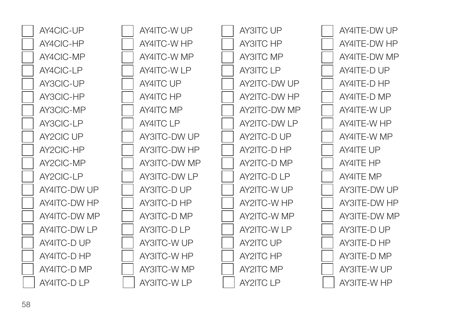AY4CIC-UP AY4CIC-HP AY4CIC-MP AY4CIC-LP AY3CIC-UP AY3CIC-HP AY3CIC-MP AY3CIC-LP AY2CIC UP AY2CIC-HP AY2CIC-MP AY2CIC-LP AY4ITC-DW UP AY4ITC-DW HP AY4ITC-DW MP AY4ITC-DW LP AY4ITC-D UP AY4ITC-D HP AY4ITC-D MP AY4ITC-D LP

AY4ITC-W LIP AY4ITC-W HP AY4ITC-W MP AY4ITC-W LP AY4ITC LIP AY4ITC HP AY4ITC MP AY4ITC LP AY3ITC-DW UP AY3ITC-DW HP AY3ITC-DW MP AY3ITC-DW LP AY3ITC-D UP AY3ITC-D HP AY3ITC-D MP AY3ITC-D LP AY3ITC-W UP AY3ITC-W HP AY3ITC-W MP AY3ITC-W LP

AY3ITC UP AY3ITC HP AY3ITC MP AY3ITC LP AY2ITC-DW LIP AY2ITC-DW HP AY2ITC-DW MP AY2ITC-DW LP AY2ITC-D UP AY2ITC-D HP AY2ITC-D MP AY2ITC-D LP AY2ITC-W LIP AY2ITC-W HP AY2ITC-W MP AY2ITC-W LP **AY2ITC UP** AY2ITC HP AY2ITC MP AY2ITC LP

AY4ITE-DW UP AY4ITE-DW HP AY4ITE-DW MP AY4ITE-D UP AY4ITE-D HP AY4ITE-D MP AY4ITE-W UP AY4ITE-W HP AY4ITE-W MP AY4ITE UP AY4ITE HP AY4ITE MP AY3ITE-DW UP AY3ITE-DW HP AY3ITE-DW MP AY3ITE-D UP AY3ITE-D HP AY3ITE-D MP AY3ITE-W LIP AY3ITE-W HP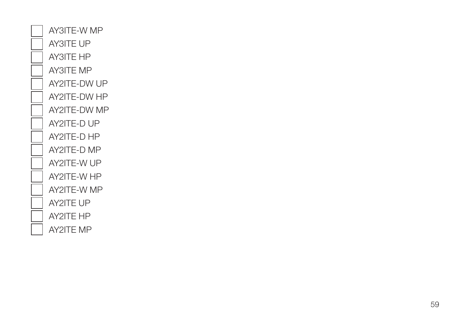AY3ITE-W MP AY3ITE UP AY3ITE HP AY3ITE MP AY2ITE-DW UP AY2ITE-DW HP AY2ITE-DW MP AY2ITE-D UP AY2ITE-D HP AY2ITE-D MP AY2ITE-W UP AY2ITE-W HP AY2ITE-W MP AY2ITE UP AY2ITE HP AY2ITE MP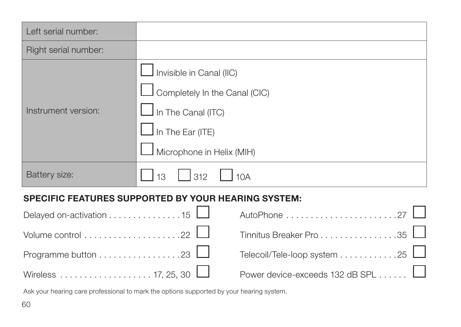| Left serial number:  |                                                                                                                                         |
|----------------------|-----------------------------------------------------------------------------------------------------------------------------------------|
| Right serial number: |                                                                                                                                         |
| Instrument version:  | Invisible in Canal (IIC)<br>Completely In the Canal (CIC)<br>In The Canal (ITC)<br>$\Box$ In The Ear (ITE)<br>Microphone in Helix (MIH) |
| Battery size:        | 312<br>10A<br>13                                                                                                                        |

#### SPECIFIC FEATURES SUPPORTED BY YOUR HEARING SYSTEM:

| Power device-exceeds 132 dB SPL |  |
|---------------------------------|--|

Ask your hearing care professional to mark the options supported by your hearing system.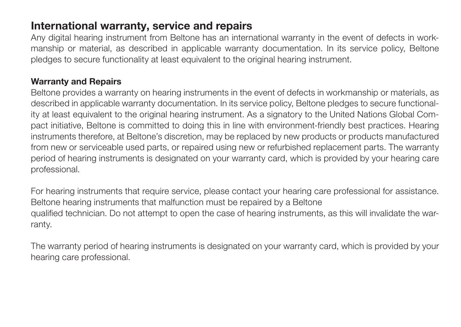#### International warranty, service and repairs

Any digital hearing instrument from Beltone has an international warranty in the event of defects in workmanship or material, as described in applicable warranty documentation. In its service policy, Beltone pledges to secure functionality at least equivalent to the original hearing instrument.

#### Warranty and Repairs

Beltone provides a warranty on hearing instruments in the event of defects in workmanship or materials, as described in applicable warranty documentation. In its service policy, Beltone pledges to secure functionality at least equivalent to the original hearing instrument. As a signatory to the United Nations Global Compact initiative, Beltone is committed to doing this in line with environment-friendly best practices. Hearing instruments therefore, at Beltone's discretion, may be replaced by new products or products manufactured from new or serviceable used parts, or repaired using new or refurbished replacement parts. The warranty period of hearing instruments is designated on your warranty card, which is provided by your hearing care professional.

For hearing instruments that require service, please contact your hearing care professional for assistance. Beltone hearing instruments that malfunction must be repaired by a Beltone qualified technician. Do not attempt to open the case of hearing instruments, as this will invalidate the warranty.

The warranty period of hearing instruments is designated on your warranty card, which is provided by your hearing care professional.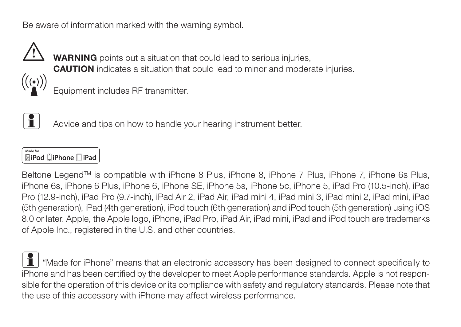Be aware of information marked with the warning symbol.



**WARNING** points out a situation that could lead to serious injuries, CAUTION indicates a situation that could lead to minor and moderate injuries.



Equipment includes RF transmitter.



 $\mathbf{I}$  Advice and tips on how to handle your hearing instrument better.

Made for **SiPod □iPhone □iPad** 

Beltone Legend™ is compatible with iPhone 8 Plus, iPhone 8, iPhone 7 Plus, iPhone 7, iPhone 6s Plus, iPhone 6s, iPhone 6 Plus, iPhone 6, iPhone SE, iPhone 5s, iPhone 5c, iPhone 5, iPad Pro (10.5-inch), iPad Pro (12.9-inch), iPad Pro (9.7-inch), iPad Air 2, iPad Air, iPad mini 4, iPad mini 3, iPad mini 2, iPad mini, iPad (5th generation), iPad (4th generation), iPod touch (6th generation) and iPod touch (5th generation) using iOS 8.0 or later. Apple, the Apple logo, iPhone, iPad Pro, iPad Air, iPad mini, iPad and iPod touch are trademarks of Apple Inc., registered in the U.S. and other countries.

i "Made for iPhone" means that an electronic accessory has been designed to connect specifically to iPhone and has been certified by the developer to meet Apple performance standards. Apple is not responsible for the operation of this device or its compliance with safety and regulatory standards. Please note that the use of this accessory with iPhone may affect wireless performance.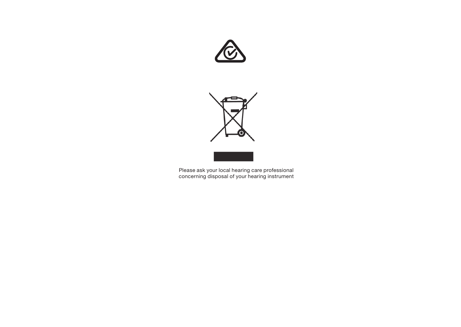





Please ask your local hearing care professional concerning disposal of your hearing instrument